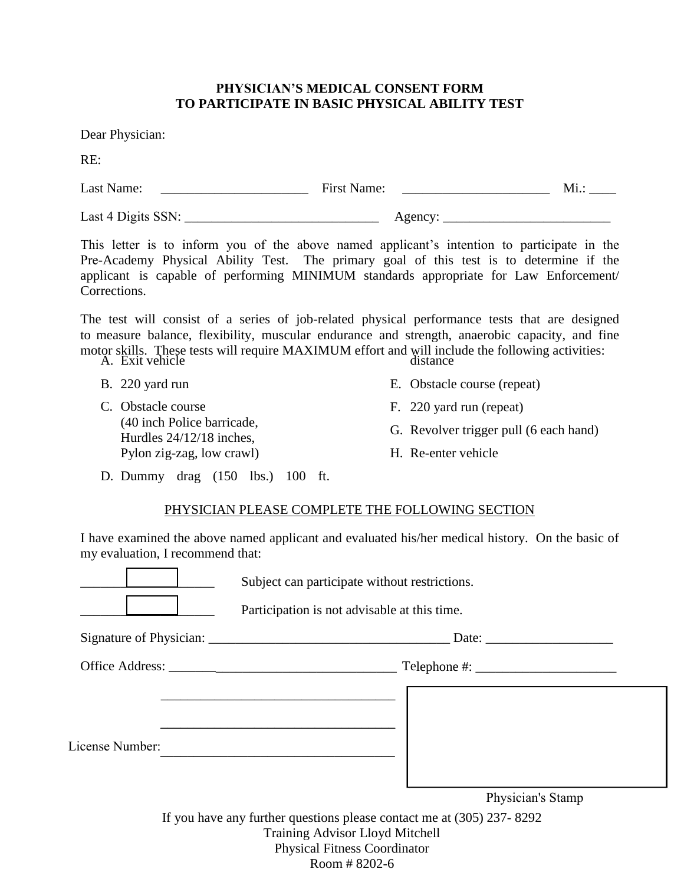### **PHYSICIAN'S MEDICAL CONSENT FORM TO PARTICIPATE IN BASIC PHYSICAL ABILITY TEST**

Dear Physician:

RE:

| Last Name:         | <b>First Name:</b> | Mi.: |
|--------------------|--------------------|------|
| Last 4 Digits SSN: | Agency.            |      |

This letter is to inform you of the above named applicant's intention to participate in the Pre-Academy Physical Ability Test. The primary goal of this test is to determine if the applicant is capable of performing MINIMUM standards appropriate for Law Enforcement/ Corrections.

The test will consist of a series of job-related physical performance tests that are designed to measure balance, flexibility, muscular endurance and strength, anaerobic capacity, and fine motor skills. These tests will require MAXIMUM effort and will include the following activities: A. Exit vehicle distance

- B. 220 yard run
- C. Obstacle course (40 inch Police barricade, Hurdles 24/12/18 inches, Pylon zig-zag, low crawl)
- E. Obstacle course (repeat)
- F. 220 yard run (repeat)
- G. Revolver trigger pull (6 each hand)
- H. Re-enter vehicle
- D. Dummy drag (150 lbs.) 100 ft.

#### PHYSICIAN PLEASE COMPLETE THE FOLLOWING SECTION

I have examined the above named applicant and evaluated his/her medical history. On the basic of my evaluation, I recommend that:

Subject can participate without restrictions.

Participation is not advisable at this time.

| Signature of Physician: | Date:        |  |
|-------------------------|--------------|--|
| <b>Office Address:</b>  | Telephone #: |  |

\_\_\_\_\_\_\_\_\_\_\_\_\_\_\_\_\_\_\_\_\_\_\_\_\_\_\_\_\_\_\_\_\_\_\_

\_\_\_\_\_\_\_\_\_\_\_\_\_\_\_\_\_\_\_\_\_\_\_\_\_\_\_\_\_\_\_\_\_\_\_

License Number:

Physician's Stamp

If you have any further questions please contact me at (305) 237- 8292 Training Advisor Lloyd Mitchell Physical Fitness Coordinator Room # 8202-6